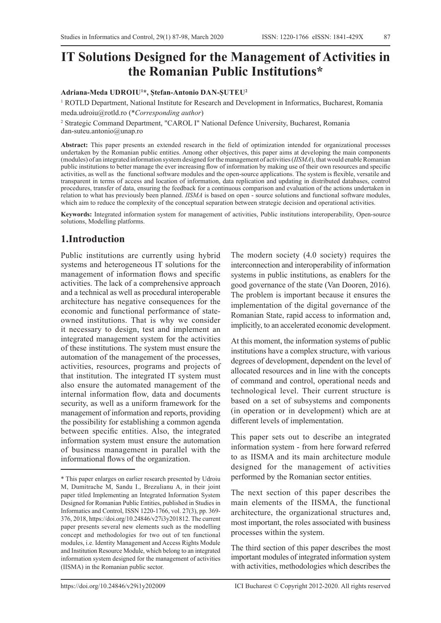# **IT Solutions Designed for the Management of Activities in the Romanian Public Institutions\***

#### **Adriana-Meda UDROIU1 \*, Ștefan-Antonio DAN-ȘUTEU2**

<sup>1</sup> ROTLD Department, National Institute for Research and Development in Informatics, Bucharest, Romania meda.udroiu@rotld.ro (\**Corresponding author*)

2 Strategic Command Department, "CAROL I" National Defence University, Bucharest, Romania dan-suteu.antonio@unap.ro

**Abstract:** This paper presents an extended research in the field of optimization intended for organizational processes undertaken by the Romanian public entities. Among other objectives, this paper aims at developing the main components (modules) of an integrated information system designed for the management of activities (*IISMA*), that would enable Romanian public institutions to better manage the ever increasing flow of information by making use of their own resources and specific activities, as well as the functional software modules and the open-source applications. The system is flexible, versatile and transparent in terms of access and location of information, data replication and updating in distributed databases, control procedures, transfer of data, ensuring the feedback for a continuous comparison and evaluation of the actions undertaken in relation to what has previously been planned. *IISMA* is based on open - source solutions and functional software modules, which aim to reduce the complexity of the conceptual separation between strategic decision and operational activities.

**Keywords:** Integrated information system for management of activities, Public institutions interoperability, Open-source solutions, Modelling platforms.

### **1.Introduction**

Public institutions are currently using hybrid systems and heterogeneous IT solutions for the management of information flows and specific activities. The lack of a comprehensive approach and a technical as well as procedural interoperable architecture has negative consequences for the economic and functional performance of stateowned institutions. That is why we consider it necessary to design, test and implement an integrated management system for the activities of these institutions. The system must ensure the automation of the management of the processes, activities, resources, programs and projects of that institution. The integrated IT system must also ensure the automated management of the internal information flow, data and documents security, as well as a uniform framework for the management of information and reports, providing the possibility for establishing a common agenda between specific entities. Also, the integrated information system must ensure the automation of business management in parallel with the informational flows of the organization.

The modern society (4.0 society) requires the interconnection and interoperability of information systems in public institutions, as enablers for the good governance of the state (Van Dooren, 2016). The problem is important because it ensures the implementation of the digital governance of the Romanian State, rapid access to information and, implicitly, to an accelerated economic development.

At this moment, the information systems of public institutions have a complex structure, with various degrees of development, dependent on the level of allocated resources and in line with the concepts of command and control, operational needs and technological level. Their current structure is based on a set of subsystems and components (in operation or in development) which are at different levels of implementation.

This paper sets out to describe an integrated information system - from here forward referred to as IISMA and its main architecture module designed for the management of activities performed by the Romanian sector entities.

The next section of this paper describes the main elements of the IISMA, the functional architecture, the organizational structures and, most important, the roles associated with business processes within the system.

The third section of this paper describes the most important modules of integrated information system with activities, methodologies which describes the

<sup>\*</sup> This paper enlarges on earlier research presented by Udroiu M, Dumitrache M, Sandu I., Brezulianu A, in their joint paper titled Implementing an Integrated Information System Designed for Romanian Public Entities, published in Studies in Informatics and Control, ISSN 1220-1766, vol. 27(3), pp. 369- 376, 2018, https://doi.org/10.24846/v27i3y201812. The current paper presents several new elements such as the modelling concept and methodologies for two out of ten functional modules, i.e. Identity Management and Access Rights Module and Institution Resource Module, which belong to an integrated information system designed for the management of activities (IISMA) in the Romanian public sector.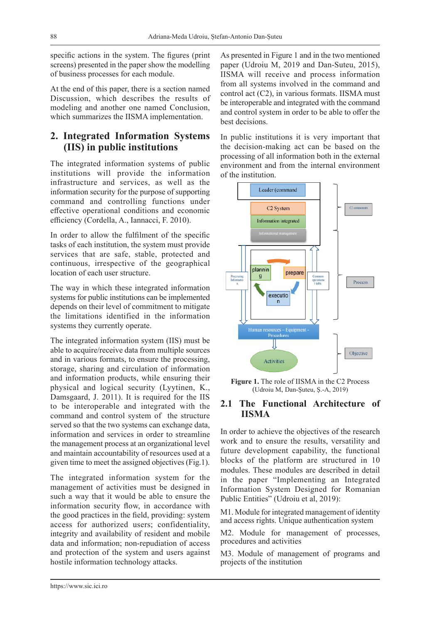specific actions in the system. The figures (print screens) presented in the paper show the modelling of business processes for each module.

At the end of this paper, there is a section named Discussion, which describes the results of modeling and another one named Conclusion, which summarizes the IISMA implementation.

# **2. Integrated Information Systems (IIS) in public institutions**

The integrated information systems of public institutions will provide the information infrastructure and services, as well as the information security for the purpose of supporting command and controlling functions under effective operational conditions and economic efficiency (Cordella, A., Iannacci, F. 2010).

In order to allow the fulfilment of the specific tasks of each institution, the system must provide services that are safe, stable, protected and continuous, irrespective of the geographical location of each user structure.

The way in which these integrated information systems for public institutions can be implemented depends on their level of commitment to mitigate the limitations identified in the information systems they currently operate.

The integrated information system (IIS) must be able to acquire/receive data from multiple sources and in various formats, to ensure the processing, storage, sharing and circulation of information and information products, while ensuring their physical and logical security (Lyytinen, K., Damsgaard, J. 2011). It is required for the IIS to be interoperable and integrated with the command and control system of the structure served so that the two systems can exchange data, information and services in order to streamline the management process at an organizational level and maintain accountability of resources used at a given time to meet the assigned objectives (Fig.1).

The integrated information system for the management of activities must be designed in such a way that it would be able to ensure the information security flow, in accordance with the good practices in the field, providing: system access for authorized users; confidentiality, integrity and availability of resident and mobile data and information; non-repudiation of access and protection of the system and users against hostile information technology attacks.

As presented in Figure 1 and in the two mentioned paper (Udroiu M, 2019 and Dan-Suteu, 2015), IISMA will receive and process information from all systems involved in the command and control act (C2), in various formats. IISMA must be interoperable and integrated with the command and control system in order to be able to offer the best decisions.

In public institutions it is very important that the decision-making act can be based on the processing of all information both in the external environment and from the internal environment of the institution.



**Figure 1.** The role of IISMA in the C2 Process (Udroiu M, Dan-Şuteu, Ş.-A, 2019)

#### **2.1 The Functional Architecture of IISMA**

In order to achieve the objectives of the research work and to ensure the results, versatility and future development capability, the functional blocks of the platform are structured in 10 modules. These modules are described in detail in the paper "Implementing an Integrated Information System Designed for Romanian Public Entities" (Udroiu et al, 2019):

M1. Module for integrated management of identity and access rights. Unique authentication system

M2. Module for management of processes, procedures and activities

M3. Module of management of programs and projects of the institution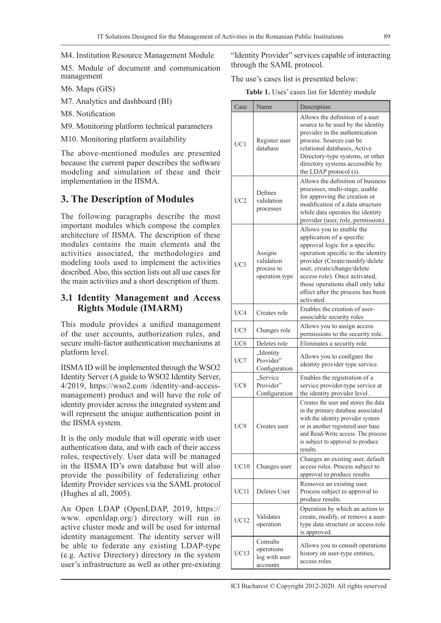M4. Institution Resource Management Module

M5. Module of document and communication management

M6. Maps (GIS)

M7. Analytics and dashboard (BI)

M8. Notification

M9. Monitoring platform technical parameters

M10. Monitoring platform availability

The above-mentioned modules are presented because the current paper describes the software modeling and simulation of these and their implementation in the IISMA.

### **3. The Description of Modules**

The following paragraphs describe the most important modules which compose the complex architecture of IISMA. The description of these modules contains the main elements and the activities associated, the methodologies and modeling tools used to implement the activities described. Also, this section lists out all use cases for the main activities and a short description of them.

#### **3.1 Identity Management and Access Rights Module (IMARM)**

This module provides a unified management of the user accounts, authorization rules, and secure multi-factor authentication mechanisms at platform level.

IISMA ID will be implemented through the WSO2 Identity Server (A guide to WSO2 Identity Server, 4/2019, https://wso2.com /identity-and-accessmanagement) product and will have the role of identity provider across the integrated system and will represent the unique authentication point in the IISMA system.

It is the only module that will operate with user authentication data, and with each of their access roles, respectively. User data will be managed in the IISMA ID's own database but will also provide the possibility of federalizing other Identity Provider services via the SAML protocol (Hughes al all, 2005).

An Open LDAP (OpenLDAP, 2019, https:// www. openldap.org/) directory will run in active cluster mode and will be used for internal identity management. The identity server will be able to federate any existing LDAP-type (e.g. Active Directory) directory in the system user's infrastructure as well as other pre-existing "Identity Provider" services capable of interacting through the SAML protocol.

The use's cases list is presented below:

**Table 1.** Uses' cases list for Identity module

| Case            | Name                                                  | Description                                                                                                                                                                                                                                                                                                          |
|-----------------|-------------------------------------------------------|----------------------------------------------------------------------------------------------------------------------------------------------------------------------------------------------------------------------------------------------------------------------------------------------------------------------|
| UC <sub>1</sub> | Register user<br>database                             | Allows the definition of a user<br>source to be used by the identity<br>provider in the authentication<br>process. Sources can be<br>relational databases, Active<br>Directory-type systems, or other<br>directory systems accessible by<br>the LDAP protocol (s).                                                   |
| UC2             | Defines<br>validation<br>processes                    | Allows the definition of business<br>processes, multi-stage, usable<br>for approving the creation or<br>modification of a data structure<br>while data operates the identity<br>provider (user, role, permission).                                                                                                   |
| UC3             | Assigns<br>validation<br>process to<br>operation type | Allows you to enable the<br>application of a specific<br>approval logic for a specific<br>operation specific to the identity<br>provider (Create/modify/delete<br>user, create/change/delete<br>access role). Once activated,<br>those operations shall only take<br>effect after the process has been<br>activated. |
| UC4             | Creates role                                          | Enables the creation of user-<br>associable security roles                                                                                                                                                                                                                                                           |
| UC <sub>5</sub> | Changes role                                          | Allows you to assign access<br>permissions to the security role.                                                                                                                                                                                                                                                     |
| UC <sub>6</sub> | Deletes role                                          | Eliminates a security role.                                                                                                                                                                                                                                                                                          |
| UC7             | "Identity<br>Provider"<br>Configuration               | Allows you to configure the<br>identity provider type service.                                                                                                                                                                                                                                                       |
| UC <sub>8</sub> | "Service<br>Provider"<br>Configuration                | Enables the registration of a<br>service provider-type service at<br>the identity provider level.                                                                                                                                                                                                                    |
| UC <sub>9</sub> | Creates user                                          | Creates the user and stores the data<br>in the primary database associated<br>with the identity provider system<br>or in another registered user base<br>and Read-Write access. The process<br>is subject to approval to produce<br>results.                                                                         |
| UC10            | Changes user                                          | Changes an existing user, default<br>access roles. Process subject to<br>approval to produce results.                                                                                                                                                                                                                |
| UC11            | Deletes User                                          | Removes an existing user.<br>Process subject to approval to<br>produce results.                                                                                                                                                                                                                                      |
| <b>UC12</b>     | Validates<br>operation                                | Operation by which an action to<br>create, modify, or remove a user-<br>type data structure or access role<br>is approved.                                                                                                                                                                                           |
| UC13            | Consults<br>operations<br>log with user<br>accounts   | Allows you to consult operations<br>history on user-type entities,<br>access roles.                                                                                                                                                                                                                                  |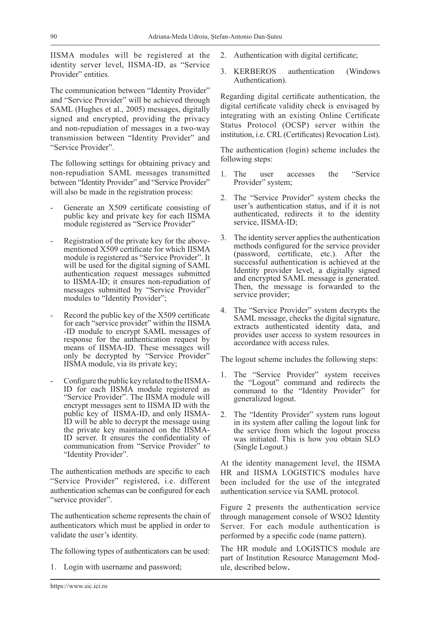IISMA modules will be registered at the identity server level, IISMA-ID, as "Service Provider" entities.

The communication between "Identity Provider" and "Service Provider" will be achieved through SAML (Hughes et al., 2005) messages, digitally signed and encrypted, providing the privacy and non-repudiation of messages in a two-way transmission between "Identity Provider" and "Service Provider".

The following settings for obtaining privacy and non-repudiation SAML messages transmitted between "Identity Provider" and "Service Provider" will also be made in the registration process:

- Generate an X509 certificate consisting of public key and private key for each IISMA module registered as "Service Provider"
- Registration of the private key for the abovementioned X509 certificate for which IISMA module is registered as "Service Provider". It will be used for the digital signing of SAML authentication request messages submitted to IISMA-ID; it ensures non-repudiation of messages submitted by "Service Provider" modules to "Identity Provider";
- Record the public key of the X509 certificate for each "service provider" within the IISMA -ID module to encrypt SAML messages of response for the authentication request by means of IISMA-ID. These messages will only be decrypted by "Service Provider" IISMA module, via its private key;
- Configure the public key related to the IISMA-ID for each IISMA module registered as "Service Provider". The IISMA module will encrypt messages sent to IISMA ID with the public key of IISMA-ID, and only IISMA-ID will be able to decrypt the message using the private key maintained on the IISMA-ID server. It ensures the confidentiality of communication from "Service Provider" to "Identity Provider".

The authentication methods are specific to each "Service Provider" registered, i.e. different authentication schemas can be configured for each "service provider".

The authentication scheme represents the chain of authenticators which must be applied in order to validate the user's identity.

The following types of authenticators can be used:

1. Login with username and password;

- 2. Authentication with digital certificate;
- 3. KERBEROS authentication (Windows Authentication).

Regarding digital certificate authentication, the digital certificate validity check is envisaged by integrating with an existing Online Certificate Status Protocol (OCSP) server within the institution, i.e. CRL (Certificates) Revocation List).

The authentication (login) scheme includes the following steps:

- 1. The user accesses the "Service Provider" system;
- 2. The "Service Provider" system checks the user's authentication status, and if it is not authenticated, redirects it to the identity service, IISMA-ID;
- 3. The identity server applies the authentication methods configured for the service provider (password, certificate, etc.). After the successful authentication is achieved at the Identity provider level, a digitally signed and encrypted SAML message is generated. Then, the message is forwarded to the service provider;
- 4. The "Service Provider" system decrypts the SAML message, checks the digital signature, extracts authenticated identity data, and provides user access to system resources in accordance with access rules.

The logout scheme includes the following steps:

- 1. The "Service Provider" system receives the "Logout" command and redirects the command to the "Identity Provider" for generalized logout.
- 2. The "Identity Provider" system runs logout in its system after calling the logout link for the service from which the logout process was initiated. This is how you obtain SLO (Single Logout.)

At the identity management level, the IISMA HR and IISMA LOGISTICS modules have been included for the use of the integrated authentication service via SAML protocol.

Figure 2 presents the authentication service through management console of WSO2 Identity Server. For each module authentication is performed by a specific code (name pattern).

The HR module and LOGISTICS module are part of Institution Resource Management Module, described below**.**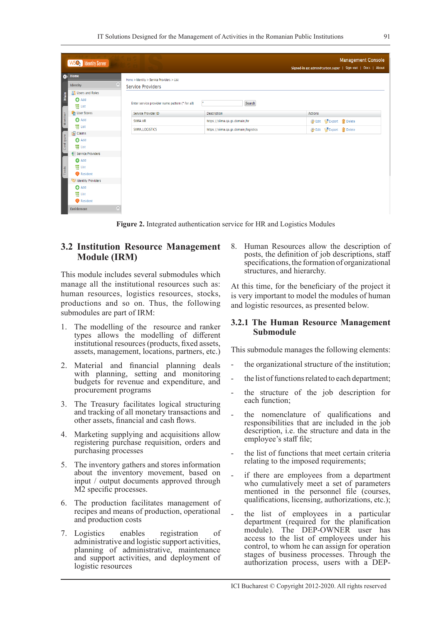|                    | WSO <sub>2</sub> Identity Server                                                                                                                                                                |                                                      |                                      |                                               | <b>Management Console</b><br>Signed-in as: admin@carbon.super   Sign-out   Docs   About |
|--------------------|-------------------------------------------------------------------------------------------------------------------------------------------------------------------------------------------------|------------------------------------------------------|--------------------------------------|-----------------------------------------------|-----------------------------------------------------------------------------------------|
| $\bullet$          | Home                                                                                                                                                                                            | Home > Identity > Service Providers > List           |                                      |                                               |                                                                                         |
|                    | $\sim$<br>Identity                                                                                                                                                                              | <b>Service Providers</b>                             |                                      |                                               |                                                                                         |
|                    | <b>Co</b> Users and Roles                                                                                                                                                                       |                                                      |                                      |                                               |                                                                                         |
| Main               | <b>O</b> Add<br>Ha List                                                                                                                                                                         | Enter service provider name pattern (* for all)<br>× | Search                               |                                               |                                                                                         |
|                    | User Stores                                                                                                                                                                                     | Service Provider ID                                  | <b>Description</b>                   | <b>Actions</b>                                |                                                                                         |
| Monitor            | <b>O</b> Add                                                                                                                                                                                    | SIIMA HR                                             | https://siima.ga.gs.domain/hr        | <b>M</b> Edit 图 Export rDelete                |                                                                                         |
|                    | <b>WE</b> List                                                                                                                                                                                  | SIIMA_LOGISTICS                                      | https://siima.qa.gs.domain/logistics | <b>B</b> Edit <b>B</b> Export <b>T</b> Delete |                                                                                         |
| Configure<br>Tools | Claims<br><b>O</b> Add<br>體 List<br>Service Providers<br><b>O</b> Add<br>體 List<br>Resident<br>Identity Providers<br><b>O</b> Add<br><b>WE</b> List<br>Resident<br>$\sim$<br><b>Entitlement</b> |                                                      |                                      |                                               |                                                                                         |

**Figure 2.** Integrated authentication service for HR and Logistics Modules

#### **3.2 Institution Resource Management Module (IRM)**

This module includes several submodules which manage all the institutional resources such as: human resources, logistics resources, stocks, productions and so on. Thus, the following submodules are part of IRM:

- 1. The modelling of the resource and ranker types allows the modelling of different institutional resources (products, fixed assets, assets, management, locations, partners, etc.)
- 2. Material and financial planning deals with planning, setting and monitoring budgets for revenue and expenditure, and procurement programs
- 3. The Treasury facilitates logical structuring and tracking of all monetary transactions and other assets, financial and cash flows.
- 4. Marketing supplying and acquisitions allow registering purchase requisition, orders and purchasing processes
- 5. The inventory gathers and stores information about the inventory movement, based on input / output documents approved through M2 specific processes.
- 6. The production facilitates management of recipes and means of production, operational and production costs
- 7. Logistics enables registration of administrative and logistic support activities, planning of administrative, maintenance and support activities, and deployment of logistic resources

8. Human Resources allow the description of posts, the definition of job descriptions, staff specifications, the formation of organizational structures, and hierarchy.

At this time, for the beneficiary of the project it is very important to model the modules of human and logistic resources, as presented below.

#### **3.2.1 The Human Resource Management Submodule**

This submodule manages the following elements:

- the organizational structure of the institution;
- the list of functions related to each department;
- the structure of the job description for each function;
- the nomenclature of qualifications and responsibilities that are included in the job description, i.e. the structure and data in the employee's staff file;
- the list of functions that meet certain criteria relating to the imposed requirements;
- if there are employees from a department who cumulatively meet a set of parameters mentioned in the personnel file (courses, qualifications, licensing, authorizations, etc.);
- the list of employees in a particular department (required for the planification module). The DEP-OWNER user has access to the list of employees under his control, to whom he can assign for operation stages of business processes. Through the authorization process, users with a DEP-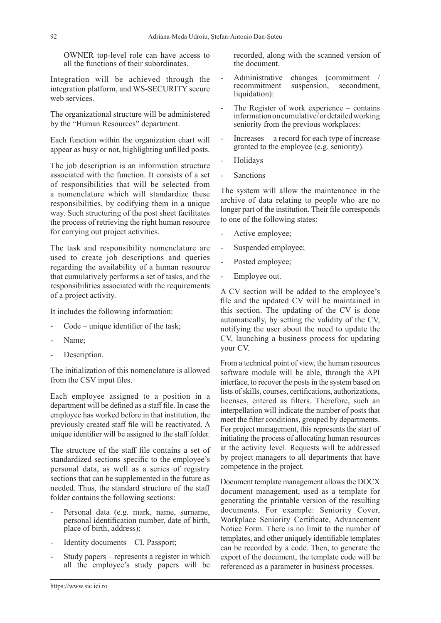OWNER top-level role can have access to all the functions of their subordinates.

Integration will be achieved through the integration platform, and WS-SECURITY secure web services.

The organizational structure will be administered by the "Human Resources" department.

Each function within the organization chart will appear as busy or not, highlighting unfilled posts.

The job description is an information structure associated with the function. It consists of a set of responsibilities that will be selected from a nomenclature which will standardize these responsibilities, by codifying them in a unique way. Such structuring of the post sheet facilitates the process of retrieving the right human resource for carrying out project activities.

The task and responsibility nomenclature are used to create job descriptions and queries regarding the availability of a human resource that cumulatively performs a set of tasks, and the responsibilities associated with the requirements of a project activity.

It includes the following information:

- Code unique identifier of the task;
- Name;
- Description.

The initialization of this nomenclature is allowed from the CSV input files.

Each employee assigned to a position in a department will be defined as a staff file. In case the employee has worked before in that institution, the previously created staff file will be reactivated. A unique identifier will be assigned to the staff folder.

The structure of the staff file contains a set of standardized sections specific to the employee's personal data, as well as a series of registry sections that can be supplemented in the future as needed. Thus, the standard structure of the staff folder contains the following sections:

- Personal data (e.g. mark, name, surname, personal identification number, date of birth, place of birth, address);
- Identity documents  $-$  CI, Passport;
- Study papers represents a register in which all the employee's study papers will be

recorded, along with the scanned version of the document.

- Administrative changes (commitment / recommitment suspension, secondment, recommitment liquidation):
- The Register of work experience  $-$  contains information on cumulative/ or detailed working seniority from the previous workplaces:
- $Increasing a record for each type of increase$ granted to the employee (e.g. seniority).
- **Holidays**
- **Sanctions**

The system will allow the maintenance in the archive of data relating to people who are no longer part of the institution. Their file corresponds to one of the following states:

- Active employee;
- Suspended employee;
- Posted employee;
- Employee out.

A CV section will be added to the employee's file and the updated CV will be maintained in this section. The updating of the CV is done automatically, by setting the validity of the CV, notifying the user about the need to update the CV, launching a business process for updating your CV.

From a technical point of view, the human resources software module will be able, through the API interface, to recover the posts in the system based on lists of skills, courses, certifications, authorizations, licenses, entered as filters. Therefore, such an interpellation will indicate the number of posts that meet the filter conditions, grouped by departments. For project management, this represents the start of initiating the process of allocating human resources at the activity level. Requests will be addressed by project managers to all departments that have competence in the project.

Document template management allows the DOCX document management, used as a template for generating the printable version of the resulting documents. For example: Seniority Cover, Workplace Seniority Certificate, Advancement Notice Form. There is no limit to the number of templates, and other uniquely identifiable templates can be recorded by a code. Then, to generate the export of the document, the template code will be referenced as a parameter in business processes.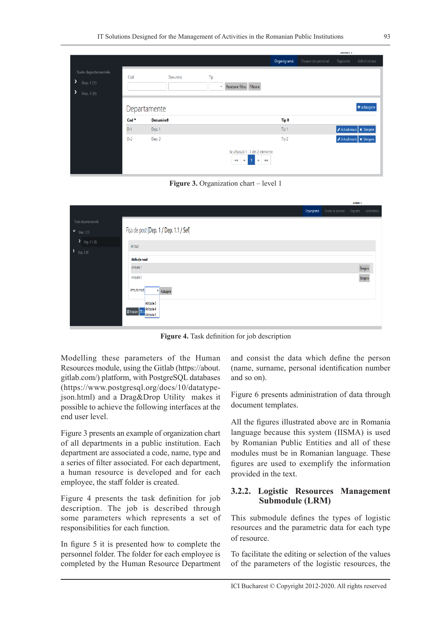|                                                           |                  |                   |                                  |                                                                                                     |             |                    | <b>SERVICE 1</b> |                           |
|-----------------------------------------------------------|------------------|-------------------|----------------------------------|-----------------------------------------------------------------------------------------------------|-------------|--------------------|------------------|---------------------------|
|                                                           |                  |                   |                                  |                                                                                                     | Organigramä | Dosare de personal | Rapoarte         | Administrare              |
| Toate departamentele<br>,<br>Dep. 1(1)<br>٧<br>Dep. 2 (0) | Cod              | Denumire          | Tip<br>$\boldsymbol{\mathrm{v}}$ | Resetare filtru Filtrare                                                                            |             |                    |                  |                           |
|                                                           |                  | Departamente      |                                  |                                                                                                     |             |                    |                  | + Adaugare                |
|                                                           | Cod <sup>A</sup> | <b>Denumire</b> ⇔ |                                  |                                                                                                     | Tip ≑       |                    |                  |                           |
|                                                           | $D-1$            | Dep. 1            |                                  |                                                                                                     | Tip 1       |                    |                  | Actualizează   X Stergere |
|                                                           | $D-2$            | Dep. 2            |                                  |                                                                                                     | Tip 2       |                    |                  | Actualizează X Stergere   |
|                                                           |                  |                   |                                  | Se afișează 1 - 2 din 2 elemente.<br>$\overline{1}$<br>$\alpha$<br>$\alpha$ $\alpha$<br>33.33<br>33 |             |                    |                  |                           |

**Figure 3.** Organization chart – level 1

|                              |                                                   |             |                    | <b>HIMM I</b> |              |
|------------------------------|---------------------------------------------------|-------------|--------------------|---------------|--------------|
|                              |                                                   | Organigramă | Dosare de personal | Rapoarte      | Administrare |
| Toate departamentele         |                                                   |             |                    |               |              |
| $V = Dep. 1 (1)$             | Fișa de post [Dep. 1 / Dep. 1.1 / Sef]            |             |                    |               |              |
| $\sum_{\text{Dep. 1.1 (0)}}$ | Atribuții                                         |             |                    |               |              |
| Dep. 2 (0)                   |                                                   |             |                    |               |              |
|                              | Atribuție nouă                                    |             |                    |               |              |
|                              | Atributie 1                                       |             |                    |               | Stergere     |
|                              | Atributie 2                                       |             |                    | Stergere      |              |
|                              | Atribuție nouă<br>Adaugare                        |             |                    |               |              |
|                              | Atributie 3<br>Atributie 4<br><b>ØAnulare</b> PLS |             |                    |               |              |
|                              | Atributie 5                                       |             |                    |               |              |

**Figure 4.** Task definition for job description

Modelling these parameters of the Human Resources module, using the Gitlab (https://about. gitlab.com/) platform, with PostgreSQL databases (https://www.postgresql.org/docs/10/datatypejson.html) and a Drag&Drop Utility makes it possible to achieve the following interfaces at the end user level.

Figure 3 presents an example of organization chart of all departments in a public institution. Each department are associated a code, name, type and a series of filter associated. For each department, a human resource is developed and for each employee, the staff folder is created.

Figure 4 presents the task definition for job description. The job is described through some parameters which represents a set of responsibilities for each function.

In figure 5 it is presented how to complete the personnel folder. The folder for each employee is completed by the Human Resource Department and consist the data which define the person (name, surname, personal identification number and so on).

Figure 6 presents administration of data through document templates.

All the figures illustrated above are in Romania language because this system (IISMA) is used by Romanian Public Entities and all of these modules must be in Romanian language. These figures are used to exemplify the information provided in the text.

#### **3.2.2. Logistic Resources Management Submodule (LRM)**

This submodule defines the types of logistic resources and the parametric data for each type of resource.

To facilitate the editing or selection of the values of the parameters of the logistic resources, the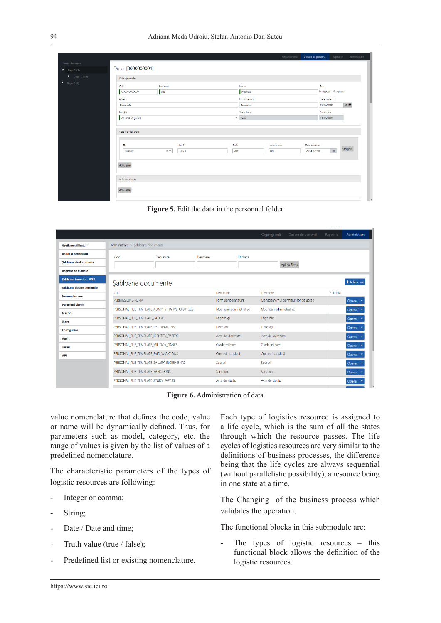|                                         |                       |                  |       |           |                             | Organigramä | Dosare de personal | Rapoarte                    | Administrare |
|-----------------------------------------|-----------------------|------------------|-------|-----------|-----------------------------|-------------|--------------------|-----------------------------|--------------|
| <b>Toate dosarele</b><br>$V$ Dep. 1 (1) | Dosar [0000000001]    |                  |       |           |                             |             |                    |                             |              |
| $\sum_{\text{Dep. 1.1 (0)}}$            | Date generale         |                  |       |           |                             |             |                    |                             |              |
| $\sum_{p \in \mathcal{P}} p(p) \geq 0$  | CNP<br>22222222222222 | Prenume<br>lon   |       |           | Nume<br>Popescu             |             | Sex                | Masculin © Feminin          |              |
|                                         | Adresa<br>București   |                  |       |           | Locul nașterii<br>București |             |                    | Data nașterii<br>19.12.1990 | $\times$     |
|                                         | Functia               |                  |       |           | Stare dosar                 |             |                    | Data stare                  |              |
|                                         | A1-633 (Adjunct)      |                  |       |           | * Activ                     |             |                    | 01.12.2019                  |              |
|                                         | Acte de identitate    |                  |       |           |                             |             |                    |                             |              |
|                                         | Tip                   |                  | Numär | Serie     |                             | Loc emitere | Data emitere       |                             | Stergere     |
|                                         | Paşaport              | $\times$ $\star$ | 33123 | <b>MD</b> |                             | lasi        | 2014-12-10         | $\blacksquare$              |              |
|                                         | Adäugare              |                  |       |           |                             |             |                    |                             |              |
|                                         | Acte de studiu        |                  |       |           |                             |             |                    |                             |              |
|                                         | Adäugare              |                  |       |           |                             |             |                    |                             |              |
|                                         |                       |                  |       |           |                             |             |                    |                             |              |

**Figure 5.** Edit the data in the personnel folder

|                               |                                               |                                          |           |                           |                     | Organigramä                         | Dosare de personal | Rapoarte | Administrare          |
|-------------------------------|-----------------------------------------------|------------------------------------------|-----------|---------------------------|---------------------|-------------------------------------|--------------------|----------|-----------------------|
| Gestiune utilizatori          | Administrare > Sabloane documente             |                                          |           |                           |                     |                                     |                    |          |                       |
| Roluri și permisiuni          | Cod                                           | Denumire                                 | Descriere |                           | Etichetă            |                                     |                    |          |                       |
| Sabloane de documente         |                                               |                                          |           |                           |                     |                                     | Aplică filtru      |          |                       |
| Registre de numere            |                                               |                                          |           |                           |                     |                                     |                    |          |                       |
| <b>Sabloane formulare WEB</b> | Sabloane documente                            |                                          |           |                           |                     |                                     |                    |          | + Adăugare            |
| Sabloane dosare personale     | Cod                                           |                                          |           | Denumire                  |                     | Descriere                           |                    | Etichetä |                       |
| <b>Nomenclatoare</b>          | PERMISSIONS-FORM                              |                                          |           |                           | Formular permisiuni | Managementul permisiunilor de acces |                    |          | Operații ·            |
| <b>Parametri sistem</b>       | PERSONAL FILE TEMPLATE ADMINISTRATIVE CHANGES |                                          |           | Modificări administrative |                     | Modificări administrative           |                    |          |                       |
| <b>Metrici</b>                |                                               | Legitimatii                              |           |                           |                     | Legitimatii                         |                    |          | Operații v            |
| <b>Stare</b>                  |                                               | PERSONAL FILE TEMPLATE BADGES            |           |                           |                     |                                     |                    |          | Operații ·            |
| Configurare                   |                                               | PERSONAL_FILE_TEMPLATE_DECORATIONS       |           | Decoratii                 |                     | Decoratii                           |                    |          | Operații *            |
| <b>Audit</b>                  |                                               | PERSONAL_FILE_TEMPLATE_IDENTITY_PAPERS   |           | Acte de identitate        |                     | Acte de identitate                  |                    |          | Operații <sup>v</sup> |
| Jurnal                        |                                               | PERSONAL FILE TEMPLATE MILITARY RANKS    |           | Grade militare            |                     | Grade militare                      |                    |          | Operații <sup>+</sup> |
| <b>API</b>                    |                                               | PERSONAL FILE TEMPLATE PAID VACATIONS    |           | Concedii cu plată         |                     | Concedii cu plată                   |                    |          | Operații *            |
|                               |                                               | PERSONAL FILE TEMPLATE SALARY INCREMENTS |           | Sporuri                   |                     | Sporuri                             |                    |          | Operații *            |
|                               | PERSONAL_FILE_TEMPLATE_SANCTIONS              |                                          |           | Sancțiuni                 |                     | Sancțiuni                           |                    |          | Operații *            |
|                               |                                               | PERSONAL FILE TEMPLATE STUDY PAPERS      |           | Acte de studiu            |                     | Acte de studiu                      |                    |          | Operații <sup>a</sup> |
|                               |                                               |                                          |           |                           |                     |                                     |                    |          |                       |

**Figure 6.** Administration of data

value nomenclature that defines the code, value or name will be dynamically defined. Thus, for parameters such as model, category, etc. the range of values is given by the list of values of a predefined nomenclature.

The characteristic parameters of the types of logistic resources are following:

- Integer or comma;
- String;
- Date / Date and time;
- Truth value (true / false);
- Predefined list or existing nomenclature.

Each type of logistics resource is assigned to a life cycle, which is the sum of all the states through which the resource passes. The life cycles of logistics resources are very similar to the definitions of business processes, the difference being that the life cycles are always sequential (without parallelistic possibility), a resource being in one state at a time.

The Changing of the business process which validates the operation.

The functional blocks in this submodule are:

The types of logistic resources  $-$  this functional block allows the definition of the logistic resources.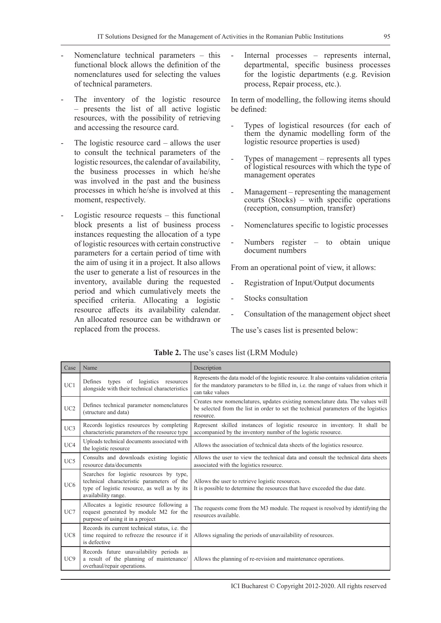- Nomenclature technical parameters  $-$  this functional block allows the definition of the nomenclatures used for selecting the values of technical parameters.
- The inventory of the logistic resource – presents the list of all active logistic resources, with the possibility of retrieving and accessing the resource card.
- The logistic resource card  $-$  allows the user to consult the technical parameters of the logistic resources, the calendar of availability, the business processes in which he/she was involved in the past and the business processes in which he/she is involved at this moment, respectively.
- $Logistic$  resource requests  $-$  this functional block presents a list of business process instances requesting the allocation of a type of logistic resources with certain constructive parameters for a certain period of time with the aim of using it in a project. It also allows the user to generate a list of resources in the inventory, available during the requested period and which cumulatively meets the specified criteria. Allocating a logistic resource affects its availability calendar. An allocated resource can be withdrawn or replaced from the process.

Internal processes – represents internal, departmental, specific business processes for the logistic departments (e.g. Revision process, Repair process, etc.).

In term of modelling, the following items should be defined:

- Types of logistical resources (for each of them the dynamic modelling form of the logistic resource properties is used)
- Types of management represents all types of logistical resources with which the type of management operates
- Management representing the management courts (Stocks) – with specific operations (reception, consumption, transfer)
- Nomenclatures specific to logistic processes
- Numbers register  $-$  to obtain unique document numbers

From an operational point of view, it allows:

- Registration of Input/Output documents
- Stocks consultation
- Consultation of the management object sheet

The use's cases list is presented below:

| Case            | Name                                                                                                                                                          | Description                                                                                                                                                                                         |
|-----------------|---------------------------------------------------------------------------------------------------------------------------------------------------------------|-----------------------------------------------------------------------------------------------------------------------------------------------------------------------------------------------------|
| UCl             | types of logistics resources<br>Defines<br>alongside with their technical characteristics                                                                     | Represents the data model of the logistic resource. It also contains validation criteria<br>for the mandatory parameters to be filled in, i.e. the range of values from which it<br>can take values |
| UC2             | Defines technical parameter nomenclatures<br>(structure and data)                                                                                             | Creates new nomenclatures, updates existing nomenclature data. The values will<br>be selected from the list in order to set the technical parameters of the logistics<br>resource.                  |
| UC3             | Records logistics resources by completing<br>characteristic parameters of the resource type                                                                   | Represent skilled instances of logistic resource in inventory. It shall be<br>accompanied by the inventory number of the logistic resource.                                                         |
| UC4             | Uploads technical documents associated with<br>the logistic resource                                                                                          | Allows the association of technical data sheets of the logistics resource.                                                                                                                          |
| UC5             | Consults and downloads existing logistic<br>resource data/documents                                                                                           | Allows the user to view the technical data and consult the technical data sheets<br>associated with the logistics resource.                                                                         |
| UC <sub>6</sub> | Searches for logistic resources by type,<br>technical characteristic parameters of the<br>type of logistic resource, as well as by its<br>availability range. | Allows the user to retrieve logistic resources.<br>It is possible to determine the resources that have exceeded the due date.                                                                       |
| UC7             | Allocates a logistic resource following a<br>request generated by module M2 for the<br>purpose of using it in a project                                       | The requests come from the M3 module. The request is resolved by identifying the<br>resources available.                                                                                            |
| UC8             | Records its current technical status, <i>i.e.</i> the<br>time required to refreeze the resource if it<br>is defective                                         | Allows signaling the periods of unavailability of resources.                                                                                                                                        |
| UC <sub>9</sub> | Records future unavailability periods as<br>a result of the planning of maintenance/<br>overhaul/repair operations.                                           | Allows the planning of re-revision and maintenance operations.                                                                                                                                      |

**Table 2.** The use's cases list (LRM Module)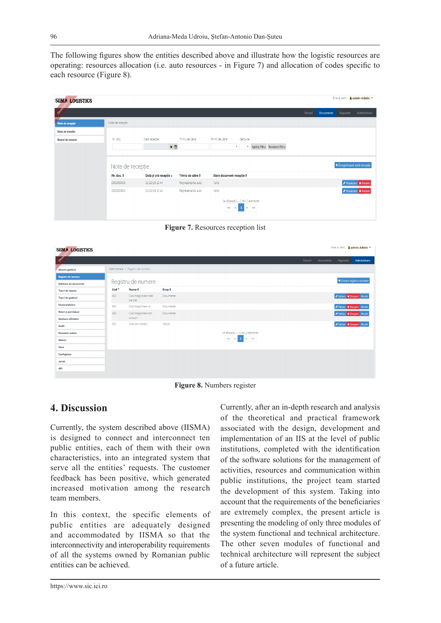The following figures show the entities described above and illustrate how the logistic resources are operating: resources allocation (i.e. auto resources - in Figure 7) and allocation of codes specific to each resource (Figure 8).

| <b>SIIMA-LOGISTICS</b> |                    |                        |                    |                                                                                             |         |           | Bine ai venit, & admin Admin T |
|------------------------|--------------------|------------------------|--------------------|---------------------------------------------------------------------------------------------|---------|-----------|--------------------------------|
| Oever                  |                    |                        |                    |                                                                                             | Stocuri | Documente | Administrare<br>Rapoarte       |
| Note de recepție       | Note de recepție   |                        |                    |                                                                                             |         |           |                                |
| Note de transfer       |                    |                        |                    |                                                                                             |         |           |                                |
| Bonuri de consum       | Nr. doc.           | Dată recepție          | Trimis de către    | Primit de către<br>Gestiune                                                                 |         |           |                                |
|                        |                    | ×₿                     |                    | * Aplică filtru Resetare filtru<br>$\mathbf{v}$                                             |         |           |                                |
|                        | Note de recepție   |                        |                    |                                                                                             |         |           | + Înregistrează notă recepție  |
|                        | Nr. doc. $\dagger$ | Dată și oră recepție v | Trimis de către ≑  | Stare document recepție $\hat{\div}$                                                        |         |           |                                |
|                        | 0000000003         | 01/10/19 15:44         | Reprezentanta auto | Valid                                                                                       |         |           | Vizualizare X Anulare          |
|                        | 0000000001         | 01/10/19 15:44         | Reprezentanta auto | Valid                                                                                       |         |           | Vizualizare X Anulare          |
|                        |                    |                        |                    | Se afisează 1 - 2 din 2 elemente.<br>$\bullet$<br>$\alpha\alpha$<br>$\alpha$<br>$33 - 3333$ |         |           |                                |

**Figure 7.** Resources reception list

| <b>SIIMA-LOGISTICS</b> |                  |                                   |                   | Bine ai venit. & admin Admin *                    |                          |
|------------------------|------------------|-----------------------------------|-------------------|---------------------------------------------------|--------------------------|
| Oever                  |                  |                                   |                   | Stocuri<br>Documente<br>Rapoarte                  | Administrare             |
| Alocare gestiuni       |                  | Administrare > Registru de numere |                   |                                                   |                          |
| Registre de numere     |                  |                                   |                   |                                                   | + Creare registru numere |
| Sabloane de documente  |                  | Registru de numere                |                   |                                                   |                          |
| Tipuri de resurse      | Cod <sup>4</sup> | Nume $\div$                       | $Grup \triangleq$ |                                                   |                          |
| Tipuri de gestiuni     | 002              | Cod înregistrare notă<br>transfer | Documente         | Editare X Stergere Alocári                        |                          |
| Nomenclatoare          | 003              | Cod înregistrare nir              | Documente         | Editare X Stergere Alocari                        |                          |
| Roluri si permisiuni   | 004              | Cod înregistrare bon              | Documente         | Editare X Stergere Alocári                        |                          |
| Gestiune utilizatori   |                  | consum                            |                   |                                                   |                          |
| Audit                  | 005              | Cod unic produs                   | Stocuri           | ✔ Editare X Stergere Alocari                      |                          |
| Parametri sistem       |                  |                                   |                   | Se afisează 1 - 4 din 4 elemente.                 |                          |
| Metrici                |                  |                                   |                   | $\alpha\alpha = \alpha - 1$ , $\alpha = -n\alpha$ |                          |
| <b>Stare</b>           |                  |                                   |                   |                                                   |                          |
| Configurare            |                  |                                   |                   |                                                   |                          |
| Jurnal                 |                  |                                   |                   |                                                   |                          |
| API                    |                  |                                   |                   |                                                   |                          |
|                        |                  |                                   |                   |                                                   |                          |

**Figure 8.** Numbers register

#### **4. Discussion**

Currently, the system described above (IISMA) is designed to connect and interconnect ten public entities, each of them with their own characteristics, into an integrated system that serve all the entities' requests. The customer feedback has been positive, which generated increased motivation among the research team members.

In this context, the specific elements of public entities are adequately designed and accommodated by IISMA so that the interconnectivity and interoperability requirements of all the systems owned by Romanian public entities can be achieved.

Currently, after an in-depth research and analysis of the theoretical and practical framework associated with the design, development and implementation of an IIS at the level of public institutions, completed with the identification of the software solutions for the management of activities, resources and communication within public institutions, the project team started the development of this system. Taking into account that the requirements of the beneficiaries are extremely complex, the present article is presenting the modeling of only three modules of the system functional and technical architecture. The other seven modules of functional and technical architecture will represent the subject of a future article.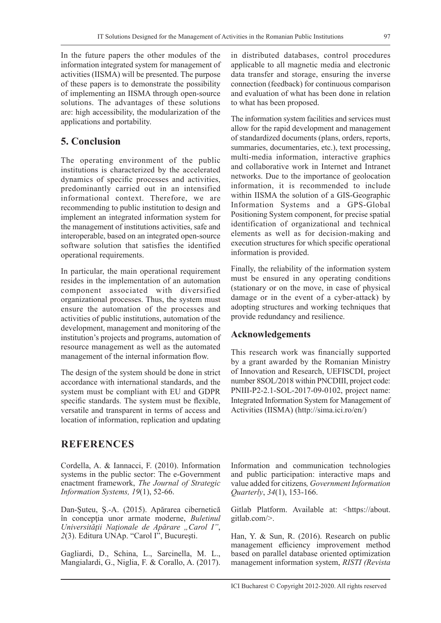In the future papers the other modules of the information integrated system for management of activities (IISMA) will be presented. The purpose of these papers is to demonstrate the possibility of implementing an IISMA through open-source solutions. The advantages of these solutions are: high accessibility, the modularization of the applications and portability.

# **5. Conclusion**

The operating environment of the public institutions is characterized by the accelerated dynamics of specific processes and activities, predominantly carried out in an intensified informational context. Therefore, we are recommending to public institution to design and implement an integrated information system for the management of institutions activities, safe and interoperable, based on an integrated open-source software solution that satisfies the identified operational requirements.

In particular, the main operational requirement resides in the implementation of an automation component associated with diversified organizational processes. Thus, the system must ensure the automation of the processes and activities of public institutions, automation of the development, management and monitoring of the institution's projects and programs, automation of resource management as well as the automated management of the internal information flow.

The design of the system should be done in strict accordance with international standards, and the system must be compliant with EU and GDPR specific standards. The system must be flexible, versatile and transparent in terms of access and location of information, replication and updating

# **REFERENCES**

Cordella, A. & Iannacci, F. (2010). Information systems in the public sector: The e-Government enactment framework, *The Journal of Strategic Information Systems, 19*(1), 52-66.

Dan-Şuteu, Ş.-A. (2015). Apărarea cibernetică în concepţia unor armate moderne, *Buletinul Universităţii Naţionale de Apărare "Carol I"*, *2*(3). Editura UNAp. "Carol I", Bucureşti.

Gagliardi, D., Schina, L., Sarcinella, M. L., Mangialardi, G., Niglia, F. & Corallo, A. (2017). in distributed databases, control procedures applicable to all magnetic media and electronic data transfer and storage, ensuring the inverse connection (feedback) for continuous comparison and evaluation of what has been done in relation to what has been proposed.

The information system facilities and services must allow for the rapid development and management of standardized documents (plans, orders, reports, summaries, documentaries, etc.), text processing, multi-media information, interactive graphics and collaborative work in Internet and Intranet networks. Due to the importance of geolocation information, it is recommended to include within IISMA the solution of a GIS-Geographic Information Systems and a GPS-Global Positioning System component, for precise spatial identification of organizational and technical elements as well as for decision-making and execution structures for which specific operational information is provided.

Finally, the reliability of the information system must be ensured in any operating conditions (stationary or on the move, in case of physical damage or in the event of a cyber-attack) by adopting structures and working techniques that provide redundancy and resilience.

#### **Acknowledgements**

This research work was financially supported by a grant awarded by the Romanian Ministry of Innovation and Research, UEFISCDI, project number 8SOL/2018 within PNCDIII, project code: PNIII-P2-2.1-SOL-2017-09-0102, project name: Integrated Information System for Management of Activities (IISMA) (http://sima.ici.ro/en/)

Information and communication technologies and public participation: interactive maps and value added for citizens*, Government Information Quarterly*, *34*(1), 153-166.

Gitlab Platform. Available at: <https://about. gitlab.com/>.

Han, Y. & Sun, R. (2016). Research on public management efficiency improvement method based on parallel database oriented optimization management information system, *RISTI (Revista*